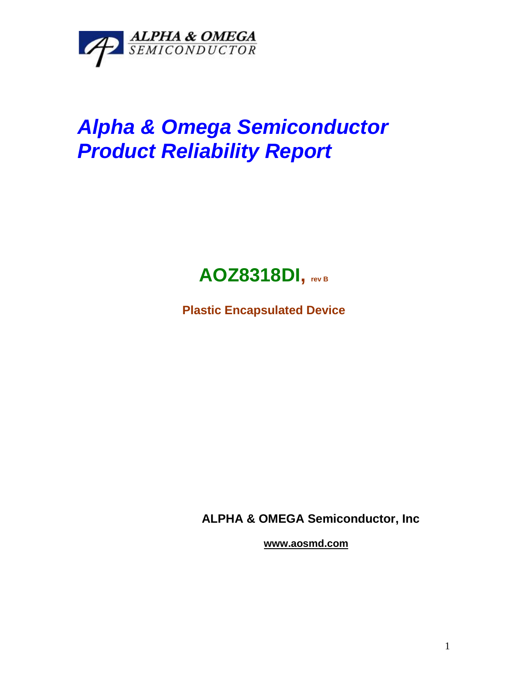

# *Alpha & Omega Semiconductor Product Reliability Report*

## **AOZ8318DI, rev <sup>B</sup>**

**Plastic Encapsulated Device**

**ALPHA & OMEGA Semiconductor, Inc**

**www.aosmd.com**